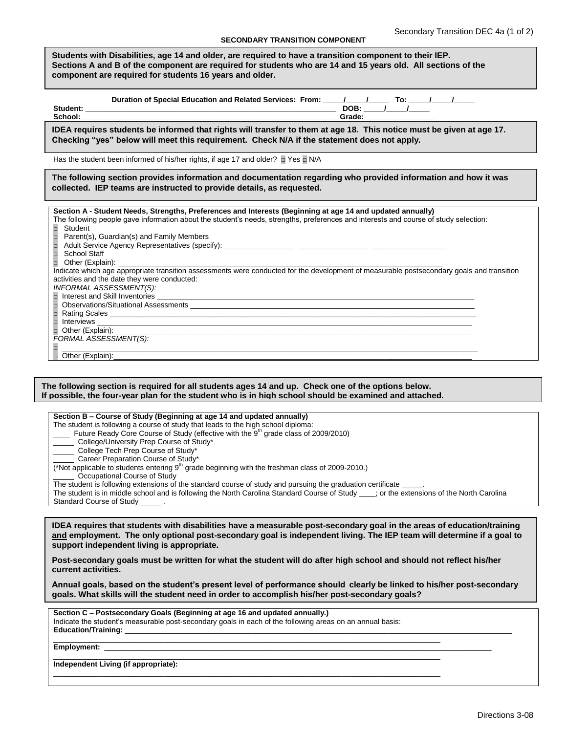## **SECONDARY TRANSITION COMPONENT**

| SECONDART TRANSITION COMFONENT                                                                                                                                                                                                                                                                                                                                                                                                                                                                                                                                                                                                                                                                                                                                                                                                                                                                                                                                                                                                                                                                                                                                                                                                                                                               |  |  |  |  |
|----------------------------------------------------------------------------------------------------------------------------------------------------------------------------------------------------------------------------------------------------------------------------------------------------------------------------------------------------------------------------------------------------------------------------------------------------------------------------------------------------------------------------------------------------------------------------------------------------------------------------------------------------------------------------------------------------------------------------------------------------------------------------------------------------------------------------------------------------------------------------------------------------------------------------------------------------------------------------------------------------------------------------------------------------------------------------------------------------------------------------------------------------------------------------------------------------------------------------------------------------------------------------------------------|--|--|--|--|
| Students with Disabilities, age 14 and older, are reguired to have a transition component to their IEP.<br>Sections A and B of the component are required for students who are 14 and 15 years old. All sections of the<br>component are required for students 16 years and older.                                                                                                                                                                                                                                                                                                                                                                                                                                                                                                                                                                                                                                                                                                                                                                                                                                                                                                                                                                                                           |  |  |  |  |
| Duration of Special Education and Related Services: From: ____/____/______ To: ____/____/_____                                                                                                                                                                                                                                                                                                                                                                                                                                                                                                                                                                                                                                                                                                                                                                                                                                                                                                                                                                                                                                                                                                                                                                                               |  |  |  |  |
| IDEA requires students be informed that rights will transfer to them at age 18. This notice must be given at age 17.<br>Checking "yes" below will meet this requirement. Check N/A if the statement does not apply.                                                                                                                                                                                                                                                                                                                                                                                                                                                                                                                                                                                                                                                                                                                                                                                                                                                                                                                                                                                                                                                                          |  |  |  |  |
| Has the student been informed of his/her rights, if age 17 and older? The TN/A                                                                                                                                                                                                                                                                                                                                                                                                                                                                                                                                                                                                                                                                                                                                                                                                                                                                                                                                                                                                                                                                                                                                                                                                               |  |  |  |  |
| The following section provides information and documentation regarding who provided information and how it was<br>collected. IEP teams are instructed to provide details, as requested.                                                                                                                                                                                                                                                                                                                                                                                                                                                                                                                                                                                                                                                                                                                                                                                                                                                                                                                                                                                                                                                                                                      |  |  |  |  |
| Section A - Student Needs, Strengths, Preferences and Interests (Beginning at age 14 and updated annually)<br>The following people gave information about the student's needs, strengths, preferences and interests and course of study selection:<br>$\Box$<br>Student<br>Parent(s), Guardian(s) and Family Members<br>School Staff<br>$\Box$<br>Other (Explain): the contract of the contract of the contract of the contract of the contract of the contract of the contract of the contract of the contract of the contract of the contract of the contract of the contract<br>Indicate which age appropriate transition assessments were conducted for the development of measurable postsecondary goals and transition<br>activities and the date they were conducted:<br><b>INFORMAL ASSESSMENT(S):</b><br><b>Rating Scales</b> <u>Contact Communications</u> and Contact Contact Contact Contact Contact Contact Contact Contact Contact Contact Contact Contact Contact Contact Contact Contact Contact Contact Contact Contact Contact Contact C<br>$\Box$ Interviews $\Box$<br>FORMAL ASSESSMENT(S):<br>,我们也不能在这里的时候,我们也不能在这里的时候,我们也不能在这里的时候,我们也不能会不能会不能会不能会不能会不能会不能会不能会。<br>第2012章 我们的时候,我们的时候,我们的时候,我们的时候,我们的时候,我们的时候,我们的时候,我们的时候,我们的时候,我们的时候,我们的时候,我们的时候,我<br>Other (Explain): |  |  |  |  |

## **The following section is required for all students ages 14 and up. Check one of the options below. If possible, the four-year plan for the student who is in high school should be examined and attached.**

| Section B – Course of Study (Beginning at age 14 and updated annually)                                                                 |
|----------------------------------------------------------------------------------------------------------------------------------------|
| The student is following a course of study that leads to the high school diploma:                                                      |
| Future Ready Core Course of Study (effective with the 9 <sup>th</sup> grade class of 2009/2010)                                        |
| College/University Prep Course of Study*                                                                                               |
| College Tech Prep Course of Study*                                                                                                     |
| Career Preparation Course of Study*                                                                                                    |
| (*Not applicable to students entering $9th$ grade beginning with the freshman class of 2009-2010.)                                     |
| Occupational Course of Study                                                                                                           |
| The student is following extensions of the standard course of study and pursuing the graduation certificate                            |
| The student is in middle school and is following the North Carolina Standard Course of Study : or the extensions of the North Carolina |
| Standard Course of Study                                                                                                               |

**IDEA requires that students with disabilities have a measurable post-secondary goal in the areas of education/training and employment. The only optional post-secondary goal is independent living. The IEP team will determine if a goal to support independent living is appropriate.** 

**Post-secondary goals must be written for what the student will do after high school and should not reflect his/her current activities.**

**Annual goals, based on the student's present level of performance should clearly be linked to his/her post-secondary goals. What skills will the student need in order to accomplish his/her post-secondary goals?** 

| Section C - Postsecondary Goals (Beginning at age 16 and updated annually.)                               |  |
|-----------------------------------------------------------------------------------------------------------|--|
|                                                                                                           |  |
| Indicate the student's measurable post-secondary goals in each of the following areas on an annual basis: |  |
|                                                                                                           |  |
|                                                                                                           |  |
|                                                                                                           |  |
|                                                                                                           |  |
|                                                                                                           |  |
|                                                                                                           |  |
|                                                                                                           |  |
|                                                                                                           |  |
| Independent Living (if appropriate):                                                                      |  |
|                                                                                                           |  |
|                                                                                                           |  |